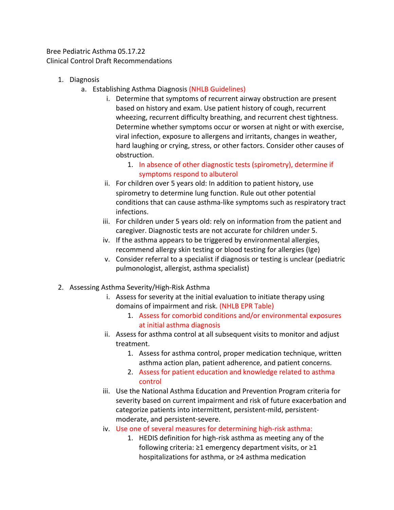Bree Pediatric Asthma 05.17.22 Clinical Control Draft Recommendations

- 1. Diagnosis
	- a. Establishing Asthma Diagnosis (NHLB Guidelines)
		- i. Determine that symptoms of recurrent airway obstruction are present based on history and exam. Use patient history of cough, recurrent wheezing, recurrent difficulty breathing, and recurrent chest tightness. Determine whether symptoms occur or worsen at night or with exercise, viral infection, exposure to allergens and irritants, changes in weather, hard laughing or crying, stress, or other factors. Consider other causes of obstruction.
			- 1. In absence of other diagnostic tests (spirometry), determine if symptoms respond to albuterol
		- ii. For children over 5 years old: In addition to patient history, use spirometry to determine lung function. Rule out other potential conditions that can cause asthma-like symptoms such as respiratory tract infections.
		- iii. For children under 5 years old: rely on information from the patient and caregiver. Diagnostic tests are not accurate for children under 5.
		- iv. If the asthma appears to be triggered by environmental allergies, recommend allergy skin testing or blood testing for allergies (Ige)
		- v. Consider referral to a specialist if diagnosis or testing is unclear (pediatric pulmonologist, allergist, asthma specialist)
- 2. Assessing Asthma Severity/High-Risk Asthma
	- i. Assess for severity at the initial evaluation to initiate therapy using domains of impairment and risk. (NHLB EPR Table)
		- 1. Assess for comorbid conditions and/or environmental exposures at initial asthma diagnosis
	- ii. Assess for asthma control at all subsequent visits to monitor and adjust treatment.
		- 1. Assess for asthma control, proper medication technique, written asthma action plan, patient adherence, and patient concerns.
		- 2. Assess for patient education and knowledge related to asthma control
	- iii. Use the National Asthma Education and Prevention Program criteria for severity based on current impairment and risk of future exacerbation and categorize patients into intermittent, persistent-mild, persistentmoderate, and persistent-severe.
	- iv. Use one of several measures for determining high-risk asthma:
		- 1. HEDIS definition for high-risk asthma as meeting any of the following criteria: ≥1 emergency department visits, or ≥1 hospitalizations for asthma, or ≥4 asthma medication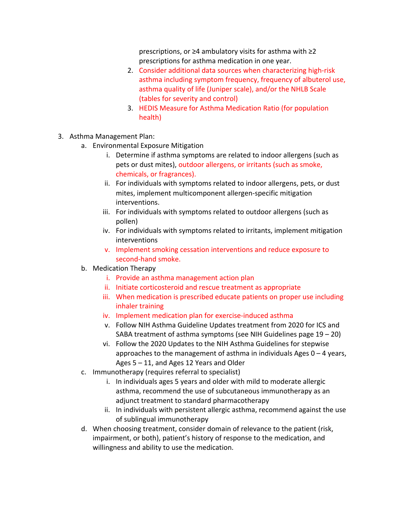prescriptions, or ≥4 ambulatory visits for asthma with ≥2 prescriptions for asthma medication in one year.

- 2. Consider additional data sources when characterizing high-risk asthma including symptom frequency, frequency of albuterol use, asthma quality of life (Juniper scale), and/or the NHLB Scale (tables for severity and control)
- 3. HEDIS Measure for Asthma Medication Ratio (for population health)
- 3. Asthma Management Plan:
	- a. Environmental Exposure Mitigation
		- i. Determine if asthma symptoms are related to indoor allergens (such as pets or dust mites), outdoor allergens, or irritants (such as smoke, chemicals, or fragrances).
		- ii. For individuals with symptoms related to indoor allergens, pets, or dust mites, implement multicomponent allergen-specific mitigation interventions.
		- iii. For individuals with symptoms related to outdoor allergens (such as pollen)
		- iv. For individuals with symptoms related to irritants, implement mitigation interventions
		- v. Implement smoking cessation interventions and reduce exposure to second-hand smoke.
	- b. Medication Therapy
		- i. Provide an asthma management action plan
		- ii. Initiate corticosteroid and rescue treatment as appropriate
		- iii. When medication is prescribed educate patients on proper use including inhaler training
		- iv. Implement medication plan for exercise-induced asthma
		- v. Follow NIH Asthma Guideline Updates treatment from 2020 for ICS and SABA treatment of asthma symptoms (see NIH Guidelines page  $19 - 20$ )
		- vi. Follow the 2020 Updates to the NIH Asthma Guidelines for stepwise approaches to the management of asthma in individuals Ages  $0 - 4$  years, Ages 5 – 11, and Ages 12 Years and Older
	- c. Immunotherapy (requires referral to specialist)
		- i. In individuals ages 5 years and older with mild to moderate allergic asthma, recommend the use of subcutaneous immunotherapy as an adjunct treatment to standard pharmacotherapy
		- ii. In individuals with persistent allergic asthma, recommend against the use of sublingual immunotherapy
	- d. When choosing treatment, consider domain of relevance to the patient (risk, impairment, or both), patient's history of response to the medication, and willingness and ability to use the medication.